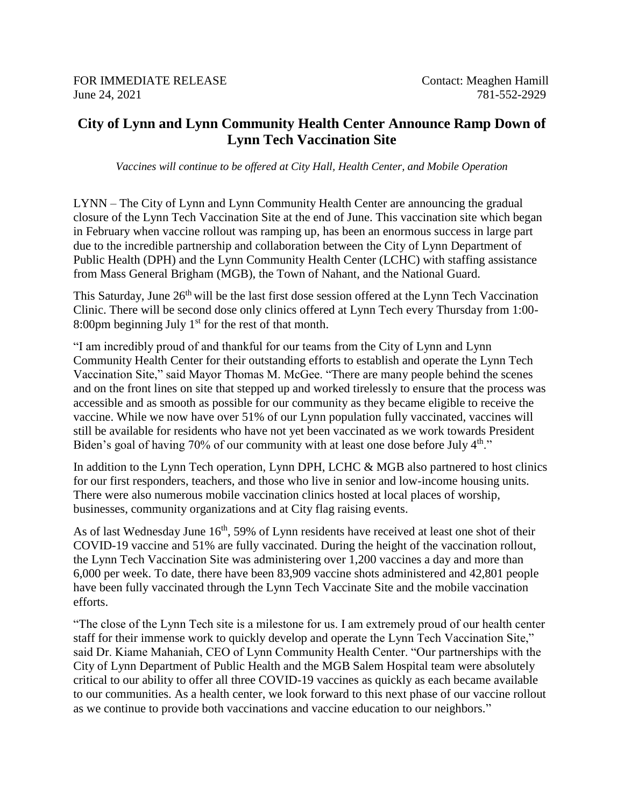## **City of Lynn and Lynn Community Health Center Announce Ramp Down of Lynn Tech Vaccination Site**

*Vaccines will continue to be offered at City Hall, Health Center, and Mobile Operation*

LYNN – The City of Lynn and Lynn Community Health Center are announcing the gradual closure of the Lynn Tech Vaccination Site at the end of June. This vaccination site which began in February when vaccine rollout was ramping up, has been an enormous success in large part due to the incredible partnership and collaboration between the City of Lynn Department of Public Health (DPH) and the Lynn Community Health Center (LCHC) with staffing assistance from Mass General Brigham (MGB), the Town of Nahant, and the National Guard.

This Saturday, June 26<sup>th</sup> will be the last first dose session offered at the Lynn Tech Vaccination Clinic. There will be second dose only clinics offered at Lynn Tech every Thursday from 1:00- 8:00pm beginning July  $1<sup>st</sup>$  for the rest of that month.

"I am incredibly proud of and thankful for our teams from the City of Lynn and Lynn Community Health Center for their outstanding efforts to establish and operate the Lynn Tech Vaccination Site," said Mayor Thomas M. McGee. "There are many people behind the scenes and on the front lines on site that stepped up and worked tirelessly to ensure that the process was accessible and as smooth as possible for our community as they became eligible to receive the vaccine. While we now have over 51% of our Lynn population fully vaccinated, vaccines will still be available for residents who have not yet been vaccinated as we work towards President Biden's goal of having 70% of our community with at least one dose before July  $4<sup>th</sup>$ ."

In addition to the Lynn Tech operation, Lynn DPH, LCHC & MGB also partnered to host clinics for our first responders, teachers, and those who live in senior and low-income housing units. There were also numerous mobile vaccination clinics hosted at local places of worship, businesses, community organizations and at City flag raising events.

As of last Wednesday June 16<sup>th</sup>, 59% of Lynn residents have received at least one shot of their COVID-19 vaccine and 51% are fully vaccinated. During the height of the vaccination rollout, the Lynn Tech Vaccination Site was administering over 1,200 vaccines a day and more than 6,000 per week. To date, there have been 83,909 vaccine shots administered and 42,801 people have been fully vaccinated through the Lynn Tech Vaccinate Site and the mobile vaccination efforts.

"The close of the Lynn Tech site is a milestone for us. I am extremely proud of our health center staff for their immense work to quickly develop and operate the Lynn Tech Vaccination Site," said Dr. Kiame Mahaniah, CEO of Lynn Community Health Center. "Our partnerships with the City of Lynn Department of Public Health and the MGB Salem Hospital team were absolutely critical to our ability to offer all three COVID-19 vaccines as quickly as each became available to our communities. As a health center, we look forward to this next phase of our vaccine rollout as we continue to provide both vaccinations and vaccine education to our neighbors."